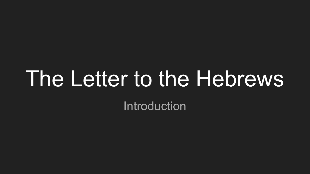# The Letter to the Hebrews

Introduction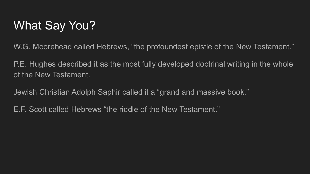### What Say You?

W.G. Moorehead called Hebrews, "the profoundest epistle of the New Testament."

P.E. Hughes described it as the most fully developed doctrinal writing in the whole of the New Testament.

Jewish Christian Adolph Saphir called it a "grand and massive book."

E.F. Scott called Hebrews "the riddle of the New Testament."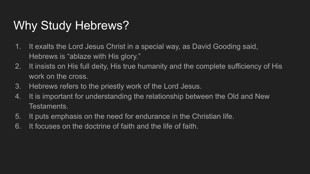#### Why Study Hebrews?

- 1. It exalts the Lord Jesus Christ in a special way, as David Gooding said, Hebrews is "ablaze with His glory."
- 2. It insists on His full deity, His true humanity and the complete sufficiency of His work on the cross.
- 3. Hebrews refers to the priestly work of the Lord Jesus.
- 4. It is important for understanding the relationship between the Old and New Testaments.
- 5. It puts emphasis on the need for endurance in the Christian life.
- 6. It focuses on the doctrine of faith and the life of faith.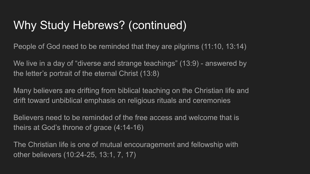#### Why Study Hebrews? (continued)

People of God need to be reminded that they are pilgrims (11:10, 13:14)

We live in a day of "diverse and strange teachings" (13:9) - answered by the letter's portrait of the eternal Christ (13:8)

Many believers are drifting from biblical teaching on the Christian life and drift toward unbiblical emphasis on religious rituals and ceremonies

Believers need to be reminded of the free access and welcome that is theirs at God's throne of grace (4:14-16)

The Christian life is one of mutual encouragement and fellowship with other believers (10:24-25, 13:1, 7, 17)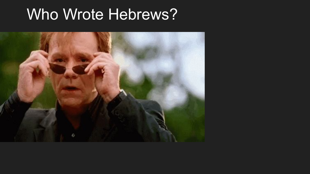# Who Wrote Hebrews?

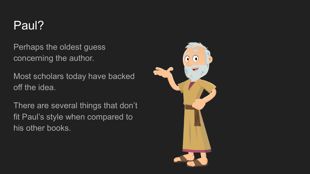#### Paul?

Perhaps the oldest guess concerning the author.

Most scholars today have backed off the idea.

There are several things that don't fit Paul's style when compared to his other books.

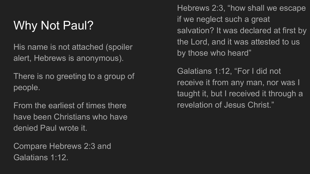# Why Not Paul?

His name is not attached (spoiler alert, Hebrews is anonymous).

There is no greeting to a group of people.

From the earliest of times there have been Christians who have denied Paul wrote it.

Compare Hebrews 2:3 and Galatians 1:12.

Hebrews 2:3, "how shall we escape if we neglect such a great salvation? It was declared at first by the Lord, and it was attested to us by those who heard"

Galatians 1:12, "For I did not receive it from any man, nor was I taught it, but I received it through a revelation of Jesus Christ."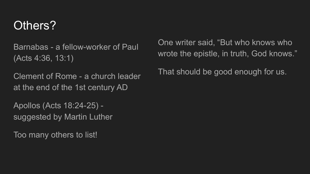#### Others?

Barnabas - a fellow-worker of Paul (Acts 4:36, 13:1)

Clement of Rome - a church leader at the end of the 1st century AD

Apollos (Acts 18:24-25) suggested by Martin Luther

Too many others to list!

One writer said, "But who knows who wrote the epistle, in truth, God knows."

That should be good enough for us.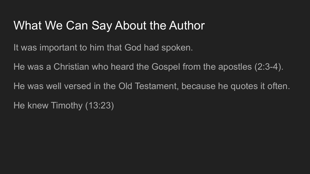#### What We Can Say About the Author

It was important to him that God had spoken.

He was a Christian who heard the Gospel from the apostles (2:3-4).

He was well versed in the Old Testament, because he quotes it often. He knew Timothy (13:23)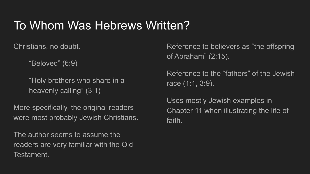#### To Whom Was Hebrews Written?

Christians, no doubt.

"Beloved" (6:9)

"Holy brothers who share in a heavenly calling" (3:1)

More specifically, the original readers were most probably Jewish Christians.

The author seems to assume the readers are very familiar with the Old Testament.

Reference to believers as "the offspring of Abraham" (2:15).

Reference to the "fathers" of the Jewish race (1:1, 3:9).

Uses mostly Jewish examples in Chapter 11 when illustrating the life of faith.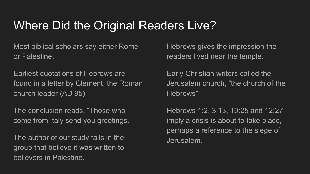#### Where Did the Original Readers Live?

Most biblical scholars say either Rome or Palestine.

Earliest quotations of Hebrews are found in a letter by Clement, the Roman church leader (AD 95).

The conclusion reads, "Those who come from Italy send you greetings."

The author of our study falls in the group that believe it was written to believers in Palestine.

Hebrews gives the impression the readers lived near the temple.

Early Christian writers called the Jerusalem church, "the church of the Hebrews".

Hebrews 1:2, 3:13, 10:25 and 12:27 imply a crisis is about to take place, perhaps a reference to the siege of Jerusalem.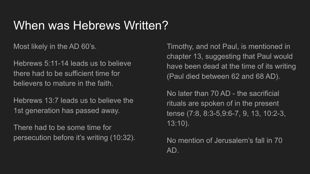#### When was Hebrews Written?

Most likely in the AD 60's.

Hebrews 5:11-14 leads us to believe there had to be sufficient time for believers to mature in the faith.

Hebrews 13:7 leads us to believe the 1st generation has passed away.

There had to be some time for persecution before it's writing (10:32).

Timothy, and not Paul, is mentioned in chapter 13, suggesting that Paul would have been dead at the time of its writing (Paul died between 62 and 68 AD).

No later than 70 AD - the sacrificial rituals are spoken of in the present tense (7:8, 8:3-5,9:6-7, 9, 13, 10:2-3, 13:10).

No mention of Jerusalem's fall in 70 AD.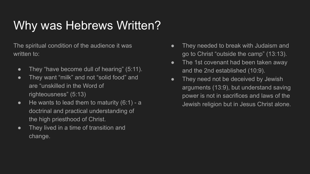# Why was Hebrews Written?

The spiritual condition of the audience it was written to:

- They "have become dull of hearing" (5:11).
- They want "milk" and not "solid food" and are "unskilled in the Word of righteousness" (5:13)
- $\bullet$  He wants to lead them to maturity (6:1) a doctrinal and practical understanding of the high priesthood of Christ.
- They lived in a time of transition and change.
- They needed to break with Judaism and go to Christ "outside the camp" (13:13).
- The 1st covenant had been taken away and the 2nd established (10:9).
- They need not be deceived by Jewish arguments (13:9), but understand saving power is not in sacrifices and laws of the Jewish religion but in Jesus Christ alone.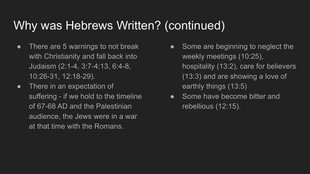#### Why was Hebrews Written? (continued)

- There are 5 warnings to not break with Christianity and fall back into Judaism (2:1-4, 3:7-4:13, 6:4-8, 10:26-31, 12:18-29).
- There in an expectation of suffering - if we hold to the timeline of 67-68 AD and the Palestinian audience, the Jews were in a war at that time with the Romans.
- Some are beginning to neglect the weekly meetings (10:25), hospitality (13:2), care for believers (13:3) and are showing a love of earthly things (13:5)
- Some have become bitter and rebellious (12:15).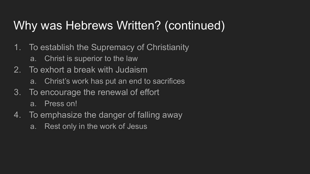#### Why was Hebrews Written? (continued)

- 1. To establish the Supremacy of Christianity
	- a. Christ is superior to the law
- 2. To exhort a break with Judaism
	- a. Christ's work has put an end to sacrifices
- 3. To encourage the renewal of effort
	- a. Press on!
- 4. To emphasize the danger of falling away
	- a. Rest only in the work of Jesus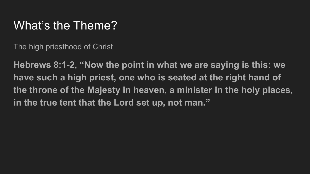#### What's the Theme?

The high priesthood of Christ

**Hebrews 8:1-2, "Now the point in what we are saying is this: we have such a high priest, one who is seated at the right hand of the throne of the Majesty in heaven, a minister in the holy places, in the true tent that the Lord set up, not man."**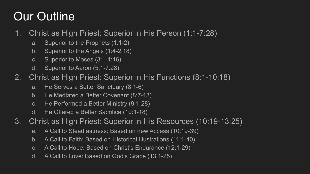# Our Outline

- 1. Christ as High Priest: Superior in His Person (1:1-7:28)
	- a. Superior to the Prophets (1:1-2)
	- b. Superior to the Angels (1:4-2:18)
	- c. Superior to Moses (3:1-4:16)
	- d. Superior to Aaron (5:1-7:28)
- 2. Christ as High Priest: Superior in His Functions (8:1-10:18)
	- a. He Serves a Better Sanctuary (8:1-6)
	- b. He Mediated a Better Covenant (8:7-13)
	- c. He Performed a Better Ministry (9:1-28)
	- d. He Offered a Better Sacrifice (10:1-18)
- 3. Christ as High Priest: Superior in His Resources (10:19-13:25)
	- a. A Call to Steadfastness: Based on new Access (10:19-39)
	- b. A Call to Faith: Based on Historical Illustrations (11:1-40)
	- c. A Call to Hope: Based on Christ's Endurance (12:1-29)
	- d. A Call to Love: Based on God's Grace (13:1-25)